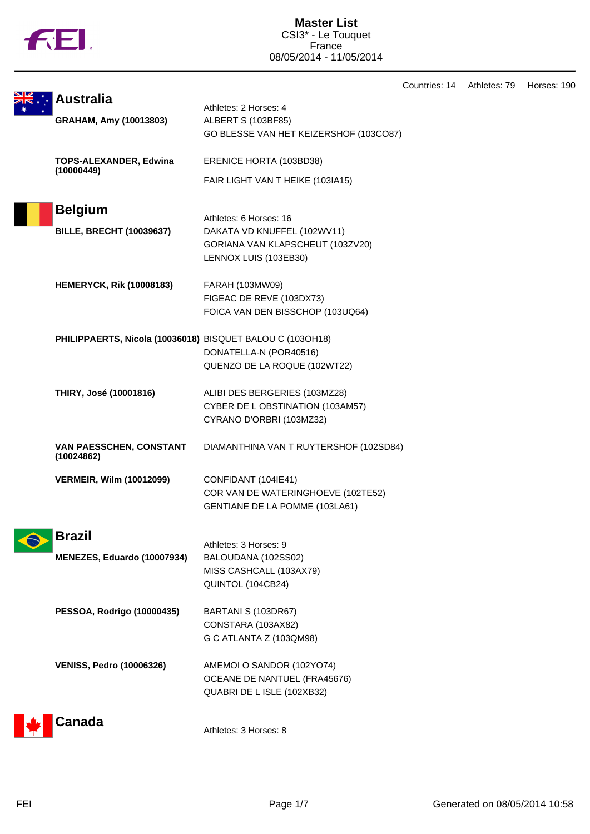

**Master List** CSI3\* - Le Touquet France 08/05/2014 - 11/05/2014

|  |                                                           |                                                           | Countries: 14 | Athletes: 79 | Horses: 190 |
|--|-----------------------------------------------------------|-----------------------------------------------------------|---------------|--------------|-------------|
|  | <b>Australia</b>                                          | Athletes: 2 Horses: 4                                     |               |              |             |
|  | GRAHAM, Amy (10013803)                                    | ALBERT S (103BF85)                                        |               |              |             |
|  |                                                           | GO BLESSE VAN HET KEIZERSHOF (103CO87)                    |               |              |             |
|  | <b>TOPS-ALEXANDER, Edwina</b>                             | ERENICE HORTA (103BD38)                                   |               |              |             |
|  | (10000449)                                                | FAIR LIGHT VAN T HEIKE (103IA15)                          |               |              |             |
|  | <b>Belgium</b>                                            |                                                           |               |              |             |
|  |                                                           | Athletes: 6 Horses: 16                                    |               |              |             |
|  | <b>BILLE, BRECHT (10039637)</b>                           | DAKATA VD KNUFFEL (102WV11)                               |               |              |             |
|  |                                                           | GORIANA VAN KLAPSCHEUT (103ZV20)<br>LENNOX LUIS (103EB30) |               |              |             |
|  |                                                           |                                                           |               |              |             |
|  | <b>HEMERYCK, Rik (10008183)</b>                           | FARAH (103MW09)                                           |               |              |             |
|  |                                                           | FIGEAC DE REVE (103DX73)                                  |               |              |             |
|  |                                                           | FOICA VAN DEN BISSCHOP (103UQ64)                          |               |              |             |
|  | PHILIPPAERTS, Nicola (10036018) BISQUET BALOU C (103OH18) |                                                           |               |              |             |
|  |                                                           | DONATELLA-N (POR40516)                                    |               |              |             |
|  |                                                           | QUENZO DE LA ROQUE (102WT22)                              |               |              |             |
|  | THIRY, José (10001816)                                    | ALIBI DES BERGERIES (103MZ28)                             |               |              |             |
|  |                                                           | CYBER DE L OBSTINATION (103AM57)                          |               |              |             |
|  |                                                           | CYRANO D'ORBRI (103MZ32)                                  |               |              |             |
|  | VAN PAESSCHEN, CONSTANT<br>(10024862)                     | DIAMANTHINA VAN T RUYTERSHOF (102SD84)                    |               |              |             |
|  |                                                           |                                                           |               |              |             |
|  | <b>VERMEIR, Wilm (10012099)</b>                           | CONFIDANT (104IE41)<br>COR VAN DE WATERINGHOEVE (102TE52) |               |              |             |
|  |                                                           | GENTIANE DE LA POMME (103LA61)                            |               |              |             |
|  |                                                           |                                                           |               |              |             |
|  | <b>Brazil</b>                                             | Athletes: 3 Horses: 9                                     |               |              |             |
|  | MENEZES, Eduardo (10007934)                               | BALOUDANA (102SS02)                                       |               |              |             |
|  |                                                           | MISS CASHCALL (103AX79)                                   |               |              |             |
|  |                                                           | QUINTOL (104CB24)                                         |               |              |             |
|  | <b>PESSOA, Rodrigo (10000435)</b>                         | BARTANI S (103DR67)                                       |               |              |             |
|  |                                                           | CONSTARA (103AX82)                                        |               |              |             |
|  |                                                           | G C ATLANTA Z (103QM98)                                   |               |              |             |
|  | <b>VENISS, Pedro (10006326)</b>                           | AMEMOI O SANDOR (102YO74)                                 |               |              |             |
|  |                                                           | OCEANE DE NANTUEL (FRA45676)                              |               |              |             |
|  |                                                           | QUABRI DE L ISLE (102XB32)                                |               |              |             |
|  | Canada                                                    |                                                           |               |              |             |
|  |                                                           | Athletes: 3 Horses: 8                                     |               |              |             |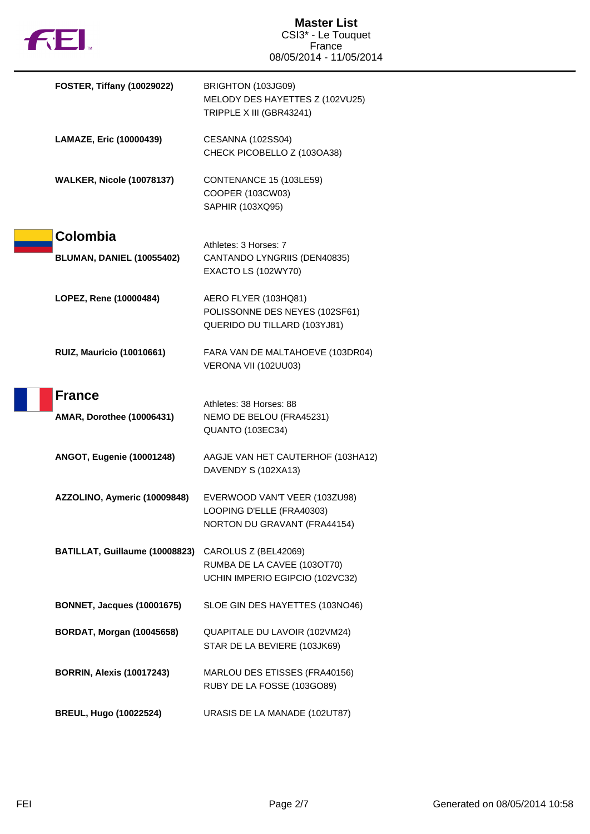| <b>132.</b>                       | <b>Master List</b><br>CSI3* - Le Touquet                                                   |  |
|-----------------------------------|--------------------------------------------------------------------------------------------|--|
|                                   | France<br>08/05/2014 - 11/05/2014                                                          |  |
| <b>FOSTER, Tiffany (10029022)</b> | BRIGHTON (103JG09)<br>MELODY DES HAYETTES Z (102VU25)<br>TRIPPLE X III (GBR43241)          |  |
| LAMAZE, Eric (10000439)           | CESANNA (102SS04)<br>CHECK PICOBELLO Z (103OA38)                                           |  |
| <b>WALKER, Nicole (10078137)</b>  | CONTENANCE 15 (103LE59)<br>COOPER (103CW03)<br>SAPHIR (103XQ95)                            |  |
| Colombia                          |                                                                                            |  |
| <b>BLUMAN, DANIEL (10055402)</b>  | Athletes: 3 Horses: 7<br>CANTANDO LYNGRIIS (DEN40835)<br>EXACTO LS (102WY70)               |  |
| LOPEZ, Rene (10000484)            | AERO FLYER (103HQ81)<br>POLISSONNE DES NEYES (102SF61)<br>QUERIDO DU TILLARD (103YJ81)     |  |
| <b>RUIZ, Mauricio (10010661)</b>  | FARA VAN DE MALTAHOEVE (103DR04)<br>VERONA VII (102UU03)                                   |  |
| <b>France</b>                     |                                                                                            |  |
| <b>AMAR, Dorothee (10006431)</b>  | Athletes: 38 Horses: 88<br>NEMO DE BELOU (FRA45231)<br>QUANTO (103EC34)                    |  |
| ANGOT, Eugenie (10001248)         | AAGJE VAN HET CAUTERHOF (103HA12)<br>DAVENDY S (102XA13)                                   |  |
| AZZOLINO, Aymeric (10009848)      | EVERWOOD VAN'T VEER (103ZU98)<br>LOOPING D'ELLE (FRA40303)<br>NORTON DU GRAVANT (FRA44154) |  |
| BATILLAT, Guillaume (10008823)    | CAROLUS Z (BEL42069)<br>RUMBA DE LA CAVEE (103OT70)<br>UCHIN IMPERIO EGIPCIO (102VC32)     |  |
| <b>BONNET, Jacques (10001675)</b> | SLOE GIN DES HAYETTES (103NO46)                                                            |  |
| <b>BORDAT, Morgan (10045658)</b>  | QUAPITALE DU LAVOIR (102VM24)<br>STAR DE LA BEVIERE (103JK69)                              |  |
| <b>BORRIN, Alexis (10017243)</b>  | MARLOU DES ETISSES (FRA40156)<br>RUBY DE LA FOSSE (103GO89)                                |  |
| <b>BREUL, Hugo (10022524)</b>     | URASIS DE LA MANADE (102UT87)                                                              |  |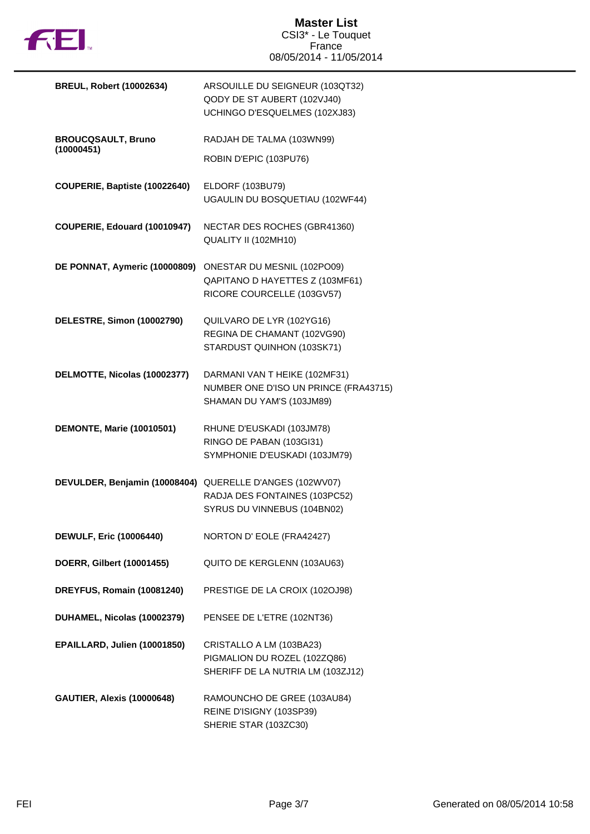

| <b>BREUL, Robert (10002634)</b>                          | ARSOUILLE DU SEIGNEUR (103QT32)<br>QODY DE ST AUBERT (102VJ40)<br>UCHINGO D'ESQUELMES (102XJ83)     |
|----------------------------------------------------------|-----------------------------------------------------------------------------------------------------|
| <b>BROUCQSAULT, Bruno</b>                                | RADJAH DE TALMA (103WN99)                                                                           |
| (10000451)                                               | ROBIN D'EPIC (103PU76)                                                                              |
| COUPERIE, Baptiste (10022640)                            | ELDORF (103BU79)<br>UGAULIN DU BOSQUETIAU (102WF44)                                                 |
| COUPERIE, Edouard (10010947)                             | NECTAR DES ROCHES (GBR41360)<br>QUALITY II (102MH10)                                                |
| DE PONNAT, Aymeric (10000809)                            | ONESTAR DU MESNIL (102PO09)<br>QAPITANO D HAYETTES Z (103MF61)<br>RICORE COURCELLE (103GV57)        |
| DELESTRE, Simon (10002790)                               | QUILVARO DE LYR (102YG16)<br>REGINA DE CHAMANT (102VG90)<br>STARDUST QUINHON (103SK71)              |
| DELMOTTE, Nicolas (10002377)                             | DARMANI VAN T HEIKE (102MF31)<br>NUMBER ONE D'ISO UN PRINCE (FRA43715)<br>SHAMAN DU YAM'S (103JM89) |
| <b>DEMONTE, Marie (10010501)</b>                         | RHUNE D'EUSKADI (103JM78)<br>RINGO DE PABAN (103GI31)<br>SYMPHONIE D'EUSKADI (103JM79)              |
| DEVULDER, Benjamin (10008404) QUERELLE D'ANGES (102WV07) | RADJA DES FONTAINES (103PC52)<br>SYRUS DU VINNEBUS (104BN02)                                        |
| <b>DEWULF, Eric (10006440)</b>                           | NORTON D' EOLE (FRA42427)                                                                           |
| DOERR, Gilbert (10001455)                                | QUITO DE KERGLENN (103AU63)                                                                         |
| DREYFUS, Romain (10081240)                               | PRESTIGE DE LA CROIX (102OJ98)                                                                      |
| DUHAMEL, Nicolas (10002379)                              | PENSEE DE L'ETRE (102NT36)                                                                          |
| EPAILLARD, Julien (10001850)                             | CRISTALLO A LM (103BA23)<br>PIGMALION DU ROZEL (102ZQ86)<br>SHERIFF DE LA NUTRIA LM (103ZJ12)       |
| <b>GAUTIER, Alexis (10000648)</b>                        | RAMOUNCHO DE GREE (103AU84)<br>REINE D'ISIGNY (103SP39)<br>SHERIE STAR (103ZC30)                    |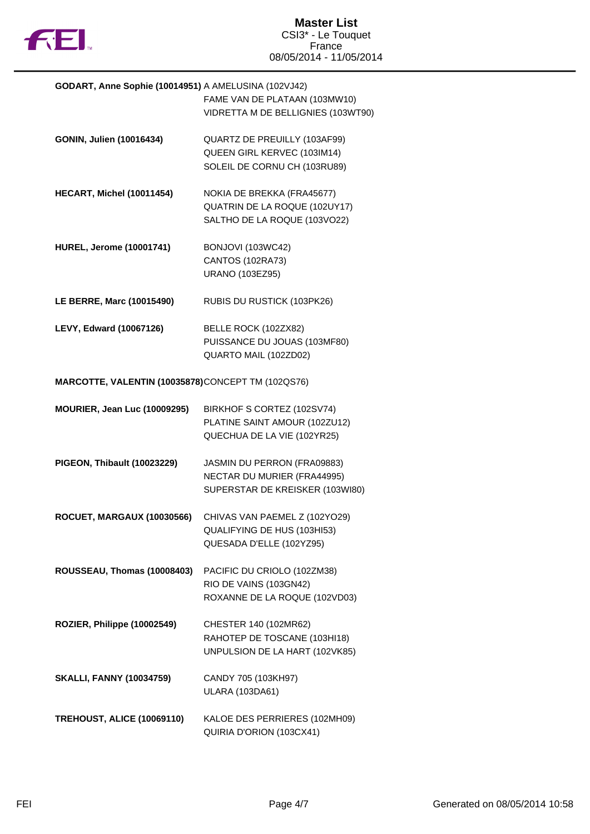

| GODART, Anne Sophie (10014951) A AMELUSINA (102VJ42) |                                    |  |
|------------------------------------------------------|------------------------------------|--|
|                                                      | FAME VAN DE PLATAAN (103MW10)      |  |
|                                                      | VIDRETTA M DE BELLIGNIES (103WT90) |  |
|                                                      |                                    |  |
| GONIN, Julien (10016434)                             | QUARTZ DE PREUILLY (103AF99)       |  |
|                                                      | QUEEN GIRL KERVEC (103IM14)        |  |
|                                                      | SOLEIL DE CORNU CH (103RU89)       |  |
|                                                      |                                    |  |
| HECART, Michel (10011454)                            | NOKIA DE BREKKA (FRA45677)         |  |
|                                                      | QUATRIN DE LA ROQUE (102UY17)      |  |
|                                                      | SALTHO DE LA ROQUE (103VO22)       |  |
|                                                      |                                    |  |
| <b>HUREL, Jerome (10001741)</b>                      | BONJOVI (103WC42)                  |  |
|                                                      | <b>CANTOS (102RA73)</b>            |  |
|                                                      | <b>URANO (103EZ95)</b>             |  |
| LE BERRE, Marc (10015490)                            | RUBIS DU RUSTICK (103PK26)         |  |
|                                                      |                                    |  |
| LEVY, Edward (10067126)                              | BELLE ROCK (102ZX82)               |  |
|                                                      | PUISSANCE DU JOUAS (103MF80)       |  |
|                                                      | QUARTO MAIL (102ZD02)              |  |
|                                                      |                                    |  |
| MARCOTTE, VALENTIN (10035878)CONCEPT TM (102QS76)    |                                    |  |
| MOURIER, Jean Luc (10009295)                         | BIRKHOF S CORTEZ (102SV74)         |  |
|                                                      | PLATINE SAINT AMOUR (102ZU12)      |  |
|                                                      | QUECHUA DE LA VIE (102YR25)        |  |
|                                                      |                                    |  |
| PIGEON, Thibault (10023229)                          | JASMIN DU PERRON (FRA09883)        |  |
|                                                      | NECTAR DU MURIER (FRA44995)        |  |
|                                                      | SUPERSTAR DE KREISKER (103WI80)    |  |
|                                                      |                                    |  |
| ROCUET, MARGAUX (10030566)                           | CHIVAS VAN PAEMEL Z (102YO29)      |  |
|                                                      | QUALIFYING DE HUS (103HI53)        |  |
|                                                      | QUESADA D'ELLE (102YZ95)           |  |
| ROUSSEAU, Thomas (10008403)                          | PACIFIC DU CRIOLO (102ZM38)        |  |
|                                                      | RIO DE VAINS (103GN42)             |  |
|                                                      | ROXANNE DE LA ROQUE (102VD03)      |  |
|                                                      |                                    |  |
| ROZIER, Philippe (10002549)                          | CHESTER 140 (102MR62)              |  |
|                                                      | RAHOTEP DE TOSCANE (103HI18)       |  |
|                                                      | UNPULSION DE LA HART (102VK85)     |  |
|                                                      |                                    |  |
| <b>SKALLI, FANNY (10034759)</b>                      | CANDY 705 (103KH97)                |  |
|                                                      | <b>ULARA (103DA61)</b>             |  |
| <b>TREHOUST, ALICE (10069110)</b>                    | KALOE DES PERRIERES (102MH09)      |  |
|                                                      | QUIRIA D'ORION (103CX41)           |  |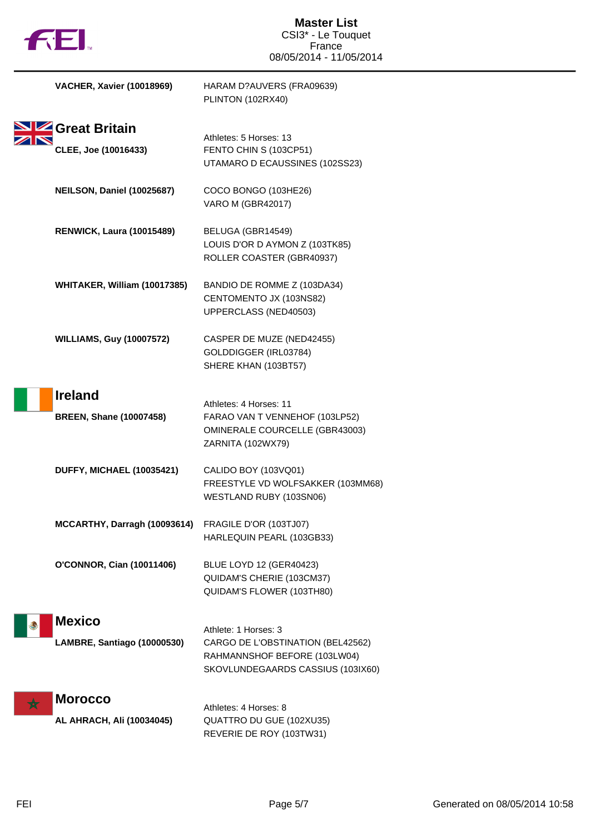| <b>THEI</b>                      | <b>Master List</b><br>CSI3* - Le Touquet<br>France<br>08/05/2014 - 11/05/2014 |  |
|----------------------------------|-------------------------------------------------------------------------------|--|
| <b>VACHER, Xavier (10018969)</b> | HARAM D?AUVERS (FRA09639)<br>PLINTON (102RX40)                                |  |
| Great Britain                    |                                                                               |  |
|                                  | Athletes: 5 Horses: 13                                                        |  |
| CLEE, Joe (10016433)             | FENTO CHIN S (103CP51)<br>UTAMARO D ECAUSSINES (102SS23)                      |  |
| NEILSON, Daniel (10025687)       | COCO BONGO (103HE26)<br><b>VARO M (GBR42017)</b>                              |  |
| <b>RENWICK, Laura (10015489)</b> | BELUGA (GBR14549)                                                             |  |
|                                  | LOUIS D'OR D AYMON Z (103TK85)                                                |  |
|                                  | ROLLER COASTER (GBR40937)                                                     |  |
| WHITAKER, William (10017385)     | BANDIO DE ROMME Z (103DA34)                                                   |  |
|                                  | CENTOMENTO JX (103NS82)                                                       |  |
|                                  | UPPERCLASS (NED40503)                                                         |  |
| <b>WILLIAMS, Guy (10007572)</b>  | CASPER DE MUZE (NED42455)                                                     |  |
|                                  | GOLDDIGGER (IRL03784)                                                         |  |
|                                  | SHERE KHAN (103BT57)                                                          |  |
| <b>Ireland</b>                   |                                                                               |  |
|                                  | Athletes: 4 Horses: 11                                                        |  |
| <b>BREEN, Shane (10007458)</b>   | FARAO VAN T VENNEHOF (103LP52)                                                |  |
|                                  | OMINERALE COURCELLE (GBR43003)                                                |  |
|                                  | ZARNITA (102WX79)                                                             |  |
| DUFFY, MICHAEL (10035421)        | CALIDO BOY (103VQ01)                                                          |  |
|                                  | FREESTYLE VD WOLFSAKKER (103MM68)                                             |  |
|                                  | WESTLAND RUBY (103SN06)                                                       |  |
| MCCARTHY, Darragh (10093614)     | FRAGILE D'OR (103TJ07)                                                        |  |
|                                  | HARLEQUIN PEARL (103GB33)                                                     |  |
| <b>O'CONNOR, Cian (10011406)</b> | <b>BLUE LOYD 12 (GER40423)</b>                                                |  |
|                                  | QUIDAM'S CHERIE (103CM37)                                                     |  |
|                                  | QUIDAM'S FLOWER (103TH80)                                                     |  |
|                                  |                                                                               |  |
| <b>Mexico</b>                    | Athlete: 1 Horses: 3                                                          |  |
| LAMBRE, Santiago (10000530)      | CARGO DE L'OBSTINATION (BEL42562)                                             |  |
|                                  | RAHMANNSHOF BEFORE (103LW04)                                                  |  |
|                                  | SKOVLUNDEGAARDS CASSIUS (103IX60)                                             |  |
| <b>Morocco</b>                   |                                                                               |  |
|                                  | Athletes: 4 Horses: 8                                                         |  |
| AL AHRACH, Ali (10034045)        | QUATTRO DU GUE (102XU35)<br>REVERIE DE ROY (103TW31)                          |  |
|                                  |                                                                               |  |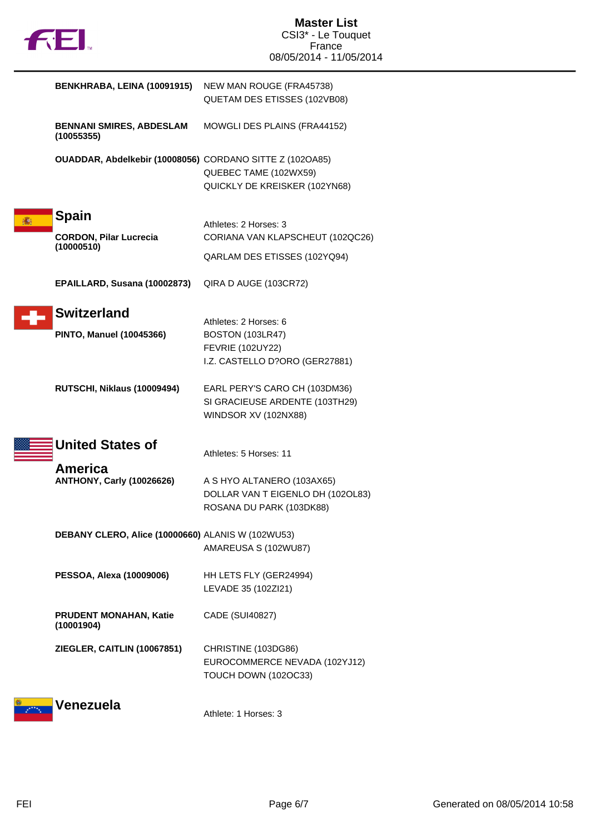| BENKHRABA, LEINA (10091915)                                 | NEW MAN ROUGE (FRA45738)<br>QUETAM DES ETISSES (102VB08)                                                      |
|-------------------------------------------------------------|---------------------------------------------------------------------------------------------------------------|
| <b>BENNANI SMIRES, ABDESLAM</b><br>(10055355)               | MOWGLI DES PLAINS (FRA44152)                                                                                  |
| OUADDAR, Abdelkebir (10008056) CORDANO SITTE Z (102OA85)    | QUEBEC TAME (102WX59)<br>QUICKLY DE KREISKER (102YN68)                                                        |
| <b>Spain</b><br><b>CORDON, Pilar Lucrecia</b><br>(10000510) | Athletes: 2 Horses: 3<br>CORIANA VAN KLAPSCHEUT (102QC26)<br>QARLAM DES ETISSES (102YQ94)                     |
| EPAILLARD, Susana (10002873)                                | QIRA D AUGE (103CR72)                                                                                         |
| <b>Switzerland</b><br><b>PINTO, Manuel (10045366)</b>       | Athletes: 2 Horses: 6<br><b>BOSTON (103LR47)</b><br><b>FEVRIE (102UY22)</b><br>I.Z. CASTELLO D?ORO (GER27881) |
| RUTSCHI, Niklaus (10009494)                                 | EARL PERY'S CARO CH (103DM36)<br>SI GRACIEUSE ARDENTE (103TH29)<br>WINDSOR XV (102NX88)                       |
| <b>United States of</b>                                     | Athletes: 5 Horses: 11                                                                                        |
| America<br><b>ANTHONY, Carly (10026626)</b>                 | A S HYO ALTANERO (103AX65)<br>DOLLAR VAN T EIGENLO DH (102OL83)<br>ROSANA DU PARK (103DK88)                   |
| DEBANY CLERO, Alice (10000660) ALANIS W (102WU53)           | AMAREUSA S (102WU87)                                                                                          |
| PESSOA, Alexa (10009006)                                    | HH LETS FLY (GER24994)<br>LEVADE 35 (102Zl21)                                                                 |
| PRUDENT MONAHAN, Katie<br>(10001904)                        | CADE (SUI40827)                                                                                               |
| ZIEGLER, CAITLIN (10067851)                                 | CHRISTINE (103DG86)<br>EUROCOMMERCE NEVADA (102YJ12)<br>TOUCH DOWN (102OC33)                                  |
| Venezuela                                                   | Athlete: 1 Horses: 3                                                                                          |